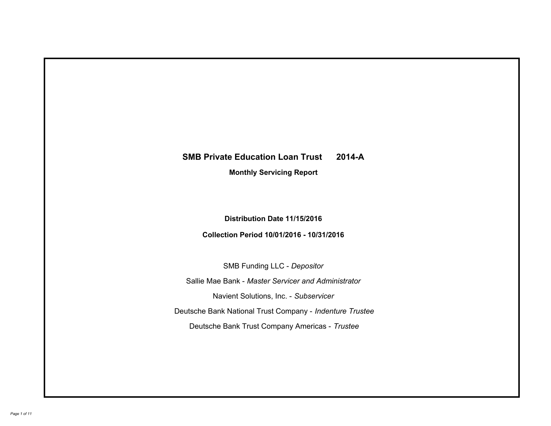# **SMB Private Education Loan Trust 2014-A Monthly Servicing Report**

# **Distribution Date 11/15/2016**

# **Collection Period 10/01/2016 - 10/31/2016**

SMB Funding LLC - *Depositor*

Sallie Mae Bank - *Master Servicer and Administrator*

Navient Solutions, Inc. - *Subservicer*

Deutsche Bank National Trust Company - *Indenture Trustee*

Deutsche Bank Trust Company Americas - *Trustee*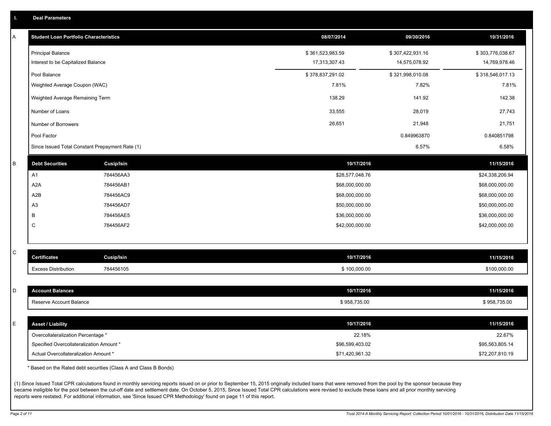|  |  |  | <b>Deal Parameters</b> |  |
|--|--|--|------------------------|--|
|--|--|--|------------------------|--|

| Α | <b>Student Loan Portfolio Characteristics</b>   |                   | 08/07/2014       | 09/30/2016       | 10/31/2016       |
|---|-------------------------------------------------|-------------------|------------------|------------------|------------------|
|   | <b>Principal Balance</b>                        |                   | \$361,523,983.59 | \$307,422,931.16 | \$303,776,038.67 |
|   | Interest to be Capitalized Balance              |                   | 17,313,307.43    | 14,575,078.92    | 14,769,978.46    |
|   | Pool Balance                                    |                   | \$378,837,291.02 | \$321,998,010.08 | \$318,546,017.13 |
|   | Weighted Average Coupon (WAC)                   |                   | 7.81%            | 7.82%            | 7.81%            |
|   | Weighted Average Remaining Term                 |                   | 138.29           | 141.92           | 142.38           |
|   | Number of Loans                                 |                   | 33,555           | 28,019           | 27,743           |
|   | Number of Borrowers                             |                   | 26,651           | 21,948           | 21,751           |
|   | Pool Factor                                     |                   |                  | 0.849963870      | 0.840851798      |
|   | Since Issued Total Constant Prepayment Rate (1) |                   |                  | 6.57%            | 6.58%            |
| B | <b>Debt Securities</b>                          | <b>Cusip/Isin</b> | 10/17/2016       |                  | 11/15/2016       |
|   | A1                                              | 784456AA3         | \$28,577,048.76  |                  | \$24,338,206.94  |
|   | A2A                                             | 784456AB1         | \$68,000,000.00  |                  | \$68,000,000.00  |
|   | A <sub>2</sub> B                                | 784456AC9         | \$68,000,000.00  |                  | \$68,000,000.00  |
|   | A <sub>3</sub>                                  | 784456AD7         | \$50,000,000.00  |                  | \$50,000,000.00  |
|   | B                                               | 784456AE5         | \$36,000,000.00  |                  | \$36,000,000.00  |
|   | C                                               | 784456AF2         | \$42,000,000.00  |                  | \$42,000,000.00  |
|   |                                                 |                   |                  |                  |                  |
| С | <b>Certificates</b>                             | Cusip/Isin        | 10/17/2016       |                  | 11/15/2016       |
|   | <b>Excess Distribution</b>                      | 784456105         | \$100,000.00     |                  | \$100,000.00     |
|   |                                                 |                   |                  |                  |                  |
| D | <b>Account Balances</b>                         |                   | 10/17/2016       |                  | 11/15/2016       |
|   | Reserve Account Balance                         |                   | \$958,735.00     |                  | \$958,735.00     |
|   |                                                 |                   |                  |                  |                  |
| E | <b>Asset / Liability</b>                        |                   | 10/17/2016       |                  | 11/15/2016       |
|   | Overcollateralization Percentage *              |                   | 22.18%           |                  | 22.67%           |
|   | Specified Overcollateralization Amount *        |                   | \$96,599,403.02  |                  | \$95,563,805.14  |
|   | Actual Overcollateralization Amount *           |                   | \$71,420,961.32  |                  | \$72,207,810.19  |

\* Based on the Rated debt securities (Class A and Class B Bonds)

(1) Since Issued Total CPR calculations found in monthly servicing reports issued on or prior to September 15, 2015 originally included loans that were removed from the pool by the sponsor because they became ineligible for the pool between the cut-off date and settlement date. On October 5, 2015, Since Issued Total CPR calculations were revised to exclude these loans and all prior monthly servicing reports were restated. For additional information, see 'Since Issued CPR Methodology' found on page 11 of this report.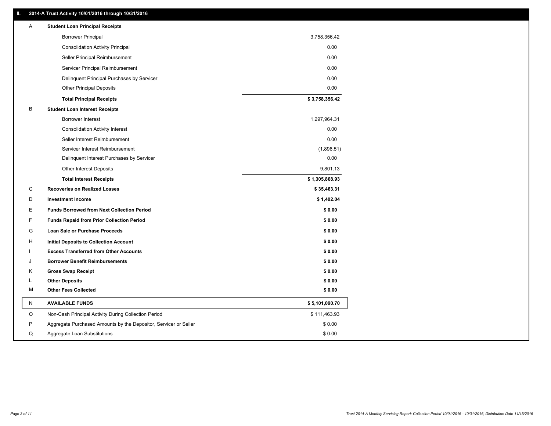### **II. 2014-A Trust Activity 10/01/2016 through 10/31/2016**

| Α | <b>Student Loan Principal Receipts</b>                           |                |
|---|------------------------------------------------------------------|----------------|
|   | <b>Borrower Principal</b>                                        | 3,758,356.42   |
|   | <b>Consolidation Activity Principal</b>                          | 0.00           |
|   | Seller Principal Reimbursement                                   | 0.00           |
|   | Servicer Principal Reimbursement                                 | 0.00           |
|   | Delinquent Principal Purchases by Servicer                       | 0.00           |
|   | <b>Other Principal Deposits</b>                                  | 0.00           |
|   | <b>Total Principal Receipts</b>                                  | \$3,758,356.42 |
| B | <b>Student Loan Interest Receipts</b>                            |                |
|   | <b>Borrower Interest</b>                                         | 1,297,964.31   |
|   | <b>Consolidation Activity Interest</b>                           | 0.00           |
|   | Seller Interest Reimbursement                                    | 0.00           |
|   | Servicer Interest Reimbursement                                  | (1,896.51)     |
|   | Delinquent Interest Purchases by Servicer                        | 0.00           |
|   | <b>Other Interest Deposits</b>                                   | 9,801.13       |
|   | <b>Total Interest Receipts</b>                                   | \$1,305,868.93 |
| С | <b>Recoveries on Realized Losses</b>                             | \$35,463.31    |
| D | <b>Investment Income</b>                                         | \$1,402.04     |
| Е | <b>Funds Borrowed from Next Collection Period</b>                | \$0.00         |
| F | <b>Funds Repaid from Prior Collection Period</b>                 | \$0.00         |
| G | Loan Sale or Purchase Proceeds                                   | \$0.00         |
| н | Initial Deposits to Collection Account                           | \$0.00         |
|   | <b>Excess Transferred from Other Accounts</b>                    | \$0.00         |
| J | <b>Borrower Benefit Reimbursements</b>                           | \$0.00         |
| Κ | <b>Gross Swap Receipt</b>                                        | \$0.00         |
| L | <b>Other Deposits</b>                                            | \$0.00         |
| М | <b>Other Fees Collected</b>                                      | \$0.00         |
| N | <b>AVAILABLE FUNDS</b>                                           | \$5,101,090.70 |
| O | Non-Cash Principal Activity During Collection Period             | \$111,463.93   |
| P | Aggregate Purchased Amounts by the Depositor, Servicer or Seller | \$0.00         |
| Q | Aggregate Loan Substitutions                                     | \$0.00         |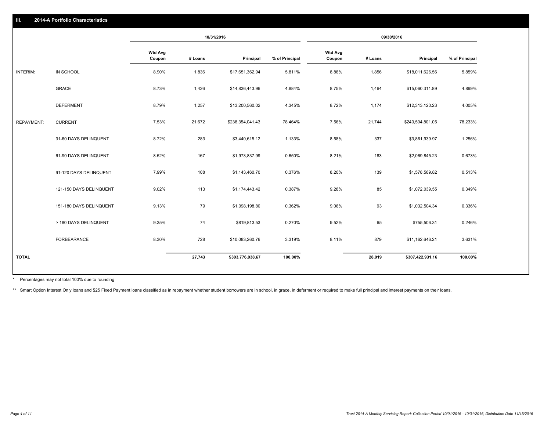|                   |                         |                          |         | 10/31/2016       |                |                          |         | 09/30/2016       |                |
|-------------------|-------------------------|--------------------------|---------|------------------|----------------|--------------------------|---------|------------------|----------------|
|                   |                         | <b>Wtd Avg</b><br>Coupon | # Loans | Principal        | % of Principal | <b>Wtd Avg</b><br>Coupon | # Loans | Principal        | % of Principal |
| INTERIM:          | IN SCHOOL               | 8.90%                    | 1,836   | \$17,651,362.94  | 5.811%         | 8.88%                    | 1,856   | \$18,011,626.56  | 5.859%         |
|                   | GRACE                   | 8.73%                    | 1,426   | \$14,836,443.96  | 4.884%         | 8.75%                    | 1,464   | \$15,060,311.89  | 4.899%         |
|                   | <b>DEFERMENT</b>        | 8.79%                    | 1,257   | \$13,200,560.02  | 4.345%         | 8.72%                    | 1,174   | \$12,313,120.23  | 4.005%         |
| <b>REPAYMENT:</b> | <b>CURRENT</b>          | 7.53%                    | 21,672  | \$238,354,041.43 | 78.464%        | 7.56%                    | 21,744  | \$240,504,801.05 | 78.233%        |
|                   | 31-60 DAYS DELINQUENT   | 8.72%                    | 283     | \$3,440,615.12   | 1.133%         | 8.58%                    | 337     | \$3,861,939.97   | 1.256%         |
|                   | 61-90 DAYS DELINQUENT   | 8.52%                    | 167     | \$1,973,837.99   | 0.650%         | 8.21%                    | 183     | \$2,069,845.23   | 0.673%         |
|                   | 91-120 DAYS DELINQUENT  | 7.99%                    | 108     | \$1,143,460.70   | 0.376%         | 8.20%                    | 139     | \$1,578,589.82   | 0.513%         |
|                   | 121-150 DAYS DELINQUENT | 9.02%                    | 113     | \$1,174,443.42   | 0.387%         | 9.28%                    | 85      | \$1,072,039.55   | 0.349%         |
|                   | 151-180 DAYS DELINQUENT | 9.13%                    | 79      | \$1,098,198.80   | 0.362%         | 9.06%                    | 93      | \$1,032,504.34   | 0.336%         |
|                   | > 180 DAYS DELINQUENT   | 9.35%                    | 74      | \$819,813.53     | 0.270%         | 9.52%                    | 65      | \$755,506.31     | 0.246%         |
|                   | FORBEARANCE             | 8.30%                    | 728     | \$10,083,260.76  | 3.319%         | 8.11%                    | 879     | \$11,162,646.21  | 3.631%         |
| <b>TOTAL</b>      |                         |                          | 27,743  | \$303,776,038.67 | 100.00%        |                          | 28,019  | \$307,422,931.16 | 100.00%        |

Percentages may not total 100% due to rounding \*

\*\* Smart Option Interest Only loans and \$25 Fixed Payment loans classified as in repayment whether student borrowers are in school, in grace, in deferment or required to make full principal and interest payments on their l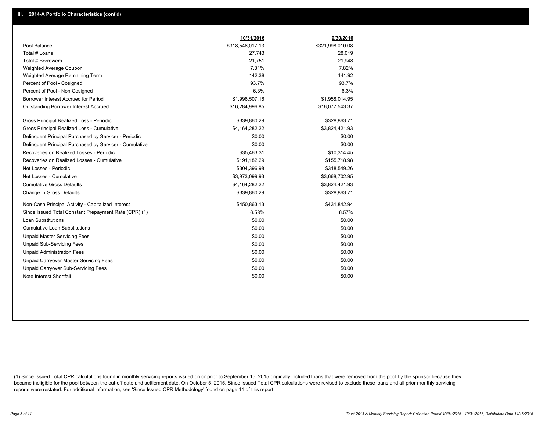|                                                         | 10/31/2016       | 9/30/2016        |
|---------------------------------------------------------|------------------|------------------|
| Pool Balance                                            | \$318,546,017.13 | \$321,998,010.08 |
| Total # Loans                                           | 27,743           | 28,019           |
| Total # Borrowers                                       | 21,751           | 21,948           |
| Weighted Average Coupon                                 | 7.81%            | 7.82%            |
| Weighted Average Remaining Term                         | 142.38           | 141.92           |
| Percent of Pool - Cosigned                              | 93.7%            | 93.7%            |
| Percent of Pool - Non Cosigned                          | 6.3%             | 6.3%             |
| Borrower Interest Accrued for Period                    | \$1,996,507.16   | \$1,958,014.95   |
| Outstanding Borrower Interest Accrued                   | \$16,284,996.85  | \$16,077,543.37  |
| Gross Principal Realized Loss - Periodic                | \$339,860.29     | \$328,863.71     |
| Gross Principal Realized Loss - Cumulative              | \$4,164,282.22   | \$3,824,421.93   |
| Delinquent Principal Purchased by Servicer - Periodic   | \$0.00           | \$0.00           |
| Delinquent Principal Purchased by Servicer - Cumulative | \$0.00           | \$0.00           |
| Recoveries on Realized Losses - Periodic                | \$35,463.31      | \$10,314.45      |
| Recoveries on Realized Losses - Cumulative              | \$191,182.29     | \$155,718.98     |
| Net Losses - Periodic                                   | \$304,396.98     | \$318,549.26     |
| Net Losses - Cumulative                                 | \$3,973,099.93   | \$3,668,702.95   |
| <b>Cumulative Gross Defaults</b>                        | \$4,164,282.22   | \$3,824,421.93   |
| Change in Gross Defaults                                | \$339,860.29     | \$328,863.71     |
| Non-Cash Principal Activity - Capitalized Interest      | \$450,863.13     | \$431,842.94     |
| Since Issued Total Constant Prepayment Rate (CPR) (1)   | 6.58%            | 6.57%            |
| <b>Loan Substitutions</b>                               | \$0.00           | \$0.00           |
| <b>Cumulative Loan Substitutions</b>                    | \$0.00           | \$0.00           |
| <b>Unpaid Master Servicing Fees</b>                     | \$0.00           | \$0.00           |
| <b>Unpaid Sub-Servicing Fees</b>                        | \$0.00           | \$0.00           |
| <b>Unpaid Administration Fees</b>                       | \$0.00           | \$0.00           |
| Unpaid Carryover Master Servicing Fees                  | \$0.00           | \$0.00           |
| Unpaid Carryover Sub-Servicing Fees                     | \$0.00           | \$0.00           |
| Note Interest Shortfall                                 | \$0.00           | \$0.00           |

(1) Since Issued Total CPR calculations found in monthly servicing reports issued on or prior to September 15, 2015 originally included loans that were removed from the pool by the sponsor because they became ineligible for the pool between the cut-off date and settlement date. On October 5, 2015, Since Issued Total CPR calculations were revised to exclude these loans and all prior monthly servicing reports were restated. For additional information, see 'Since Issued CPR Methodology' found on page 11 of this report.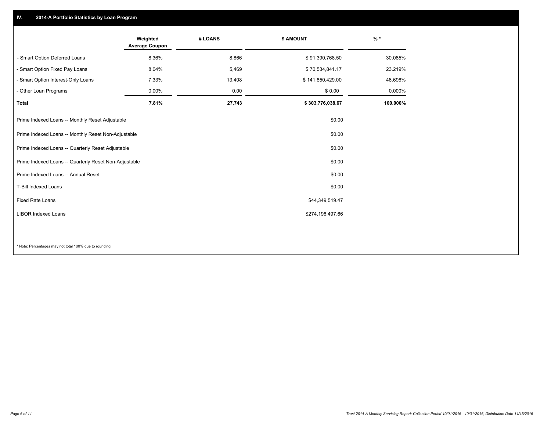## **IV. 2014-A Portfolio Statistics by Loan Program**

|                                                       | Weighted<br><b>Average Coupon</b> | # LOANS | <b>\$ AMOUNT</b> | $%$ *    |
|-------------------------------------------------------|-----------------------------------|---------|------------------|----------|
| - Smart Option Deferred Loans                         | 8.36%                             | 8,866   | \$91,390,768.50  | 30.085%  |
| - Smart Option Fixed Pay Loans                        | 8.04%                             | 5,469   | \$70,534,841.17  | 23.219%  |
| - Smart Option Interest-Only Loans                    | 7.33%                             | 13,408  | \$141,850,429.00 | 46.696%  |
| - Other Loan Programs                                 | $0.00\%$                          | 0.00    | \$0.00           | 0.000%   |
| <b>Total</b>                                          | 7.81%                             | 27,743  | \$303,776,038.67 | 100.000% |
| Prime Indexed Loans -- Monthly Reset Adjustable       |                                   |         | \$0.00           |          |
| Prime Indexed Loans -- Monthly Reset Non-Adjustable   |                                   |         | \$0.00           |          |
| Prime Indexed Loans -- Quarterly Reset Adjustable     |                                   |         | \$0.00           |          |
| Prime Indexed Loans -- Quarterly Reset Non-Adjustable |                                   |         | \$0.00           |          |
| Prime Indexed Loans -- Annual Reset                   |                                   |         | \$0.00           |          |
| T-Bill Indexed Loans                                  |                                   |         | \$0.00           |          |
| Fixed Rate Loans                                      |                                   |         | \$44,349,519.47  |          |
| <b>LIBOR Indexed Loans</b>                            |                                   |         | \$274,196,497.66 |          |
|                                                       |                                   |         |                  |          |

\* Note: Percentages may not total 100% due to rounding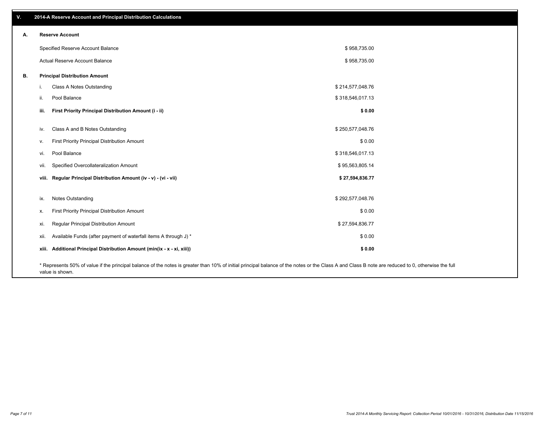| v. | 2014-A Reserve Account and Principal Distribution Calculations                                                                                                                                     |                  |  |
|----|----------------------------------------------------------------------------------------------------------------------------------------------------------------------------------------------------|------------------|--|
| А. | <b>Reserve Account</b>                                                                                                                                                                             |                  |  |
|    | Specified Reserve Account Balance                                                                                                                                                                  | \$958,735.00     |  |
|    | Actual Reserve Account Balance                                                                                                                                                                     | \$958,735.00     |  |
| В. | <b>Principal Distribution Amount</b>                                                                                                                                                               |                  |  |
|    | Class A Notes Outstanding<br>i.                                                                                                                                                                    | \$214,577,048.76 |  |
|    | Pool Balance<br>ii.                                                                                                                                                                                | \$318,546,017.13 |  |
|    | First Priority Principal Distribution Amount (i - ii)<br>iii.                                                                                                                                      | \$0.00           |  |
|    | Class A and B Notes Outstanding<br>iv.                                                                                                                                                             | \$250,577,048.76 |  |
|    | First Priority Principal Distribution Amount<br>V.                                                                                                                                                 | \$0.00           |  |
|    | Pool Balance<br>vi.                                                                                                                                                                                | \$318,546,017.13 |  |
|    | Specified Overcollateralization Amount<br>vii.                                                                                                                                                     | \$95,563,805.14  |  |
|    | viii. Regular Principal Distribution Amount (iv - v) - (vi - vii)                                                                                                                                  | \$27,594,836.77  |  |
|    | Notes Outstanding<br>ix.                                                                                                                                                                           | \$292,577,048.76 |  |
|    | First Priority Principal Distribution Amount<br>Х.                                                                                                                                                 | \$0.00           |  |
|    | Regular Principal Distribution Amount<br>xi.                                                                                                                                                       | \$27,594,836.77  |  |
|    | Available Funds (after payment of waterfall items A through J) *<br>xii.                                                                                                                           | \$0.00           |  |
|    | xiii. Additional Principal Distribution Amount (min(ix - x - xi, xiii))                                                                                                                            | \$0.00           |  |
|    | * Represents 50% of value if the principal balance of the notes is greater than 10% of initial principal balance of the notes or the Class A and Class B note are reduced to 0, otherwise the full |                  |  |

value is shown.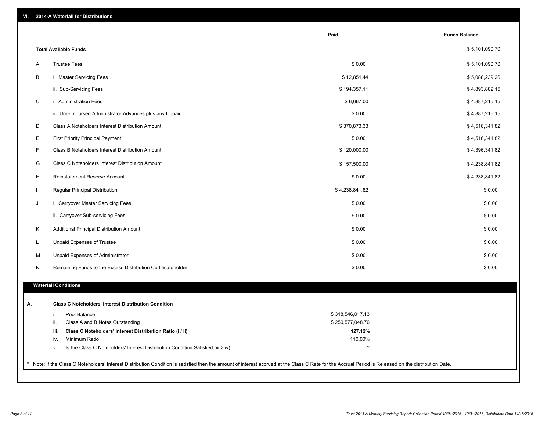| VI. |  | 2014-A Waterfall for Distributions |  |  |  |
|-----|--|------------------------------------|--|--|--|
|-----|--|------------------------------------|--|--|--|

|                                                                                        | Paid             | <b>Funds Balance</b> |
|----------------------------------------------------------------------------------------|------------------|----------------------|
| <b>Total Available Funds</b>                                                           |                  | \$5,101,090.70       |
| <b>Trustee Fees</b><br>Α                                                               | \$0.00           | \$5,101,090.70       |
| В<br>i. Master Servicing Fees                                                          | \$12,851.44      | \$5,088,239.26       |
| ii. Sub-Servicing Fees                                                                 | \$194,357.11     | \$4,893,882.15       |
| C<br>i. Administration Fees                                                            | \$6,667.00       | \$4,887,215.15       |
| ii. Unreimbursed Administrator Advances plus any Unpaid                                | \$0.00           | \$4,887,215.15       |
| D<br>Class A Noteholders Interest Distribution Amount                                  | \$370,873.33     | \$4,516,341.82       |
| Е<br><b>First Priority Principal Payment</b>                                           | \$0.00           | \$4,516,341.82       |
| F<br>Class B Noteholders Interest Distribution Amount                                  | \$120,000.00     | \$4,396,341.82       |
| G<br>Class C Noteholders Interest Distribution Amount                                  | \$157,500.00     | \$4,238,841.82       |
| H<br>Reinstatement Reserve Account                                                     | \$0.00           | \$4,238,841.82       |
| $\mathbf{I}$<br>Regular Principal Distribution                                         | \$4,238,841.82   | \$0.00               |
| J<br>i. Carryover Master Servicing Fees                                                | \$0.00           | \$0.00               |
| ii. Carryover Sub-servicing Fees                                                       | \$0.00           | \$0.00               |
| Κ<br>Additional Principal Distribution Amount                                          | \$0.00           | \$0.00               |
| L<br>Unpaid Expenses of Trustee                                                        | \$0.00           | \$0.00               |
| M<br>Unpaid Expenses of Administrator                                                  | \$0.00           | \$0.00               |
| N<br>Remaining Funds to the Excess Distribution Certificateholder                      | \$0.00           | \$0.00               |
| <b>Waterfall Conditions</b>                                                            |                  |                      |
| <b>Class C Noteholders' Interest Distribution Condition</b>                            |                  |                      |
| Pool Balance<br>i.                                                                     | \$318,546,017.13 |                      |
| ii.<br>Class A and B Notes Outstanding                                                 | \$250,577,048.76 |                      |
| Class C Noteholders' Interest Distribution Ratio (i / ii)<br>iii.                      | 127.12%          |                      |
| Minimum Ratio<br>iv.                                                                   | 110.00%          |                      |
| Is the Class C Noteholders' Interest Distribution Condition Satisfied (iii > iv)<br>٧. | Y                |                      |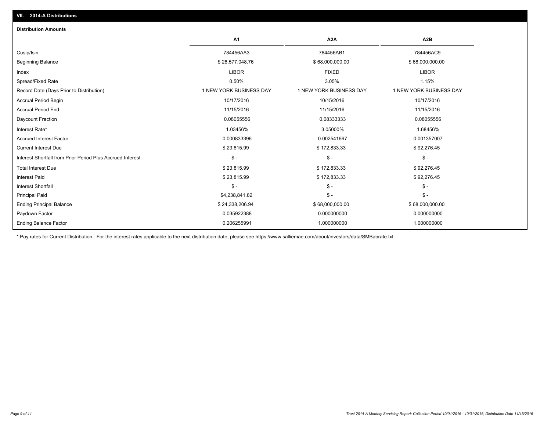| A <sub>1</sub>          | A2A                     | A2B                     |
|-------------------------|-------------------------|-------------------------|
| 784456AA3               | 784456AB1               | 784456AC9               |
| \$28,577,048.76         | \$68,000,000.00         | \$68,000,000.00         |
| <b>LIBOR</b>            | <b>FIXED</b>            | <b>LIBOR</b>            |
| 0.50%                   | 3.05%                   | 1.15%                   |
| 1 NEW YORK BUSINESS DAY | 1 NEW YORK BUSINESS DAY | 1 NEW YORK BUSINESS DAY |
| 10/17/2016              | 10/15/2016              | 10/17/2016              |
| 11/15/2016              | 11/15/2016              | 11/15/2016              |
| 0.08055556              | 0.08333333              | 0.08055556              |
| 1.03456%                | 3.05000%                | 1.68456%                |
| 0.000833396             | 0.002541667             | 0.001357007             |
| \$23,815.99             | \$172,833.33            | \$92,276.45             |
| $S -$                   | $\mathsf{\$}$ -         | $\mathsf{\$}$ -         |
| \$23,815.99             | \$172,833.33            | \$92,276.45             |
| \$23,815.99             | \$172,833.33            | \$92,276.45             |
| $\mathsf{\$}$ -         | $\mathsf{\$}$ -         | $\mathcal{S}$ -         |
| \$4,238,841.82          | $\mathsf S$ -           | $\mathsf{\$}$ -         |
| \$24,338,206.94         | \$68,000,000.00         | \$68,000,000.00         |
| 0.035922388             | 0.000000000             | 0.000000000             |
| 0.206255991             | 1.000000000             | 1.000000000             |
|                         |                         |                         |

\* Pay rates for Current Distribution. For the interest rates applicable to the next distribution date, please see https://www.salliemae.com/about/investors/data/SMBabrate.txt.

**VII. 2014-A Distributions**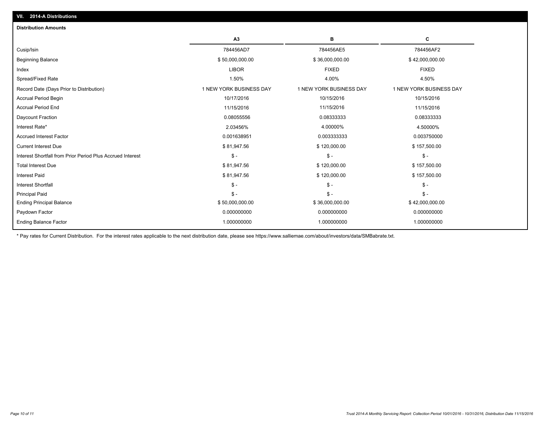| <b>Distribution Amounts</b>                                |                         |                         |                         |
|------------------------------------------------------------|-------------------------|-------------------------|-------------------------|
|                                                            | A3                      | в                       | c                       |
| Cusip/Isin                                                 | 784456AD7               | 784456AE5               | 784456AF2               |
| <b>Beginning Balance</b>                                   | \$50,000,000.00         | \$36,000,000.00         | \$42,000,000.00         |
| Index                                                      | <b>LIBOR</b>            | <b>FIXED</b>            | <b>FIXED</b>            |
| Spread/Fixed Rate                                          | 1.50%                   | 4.00%                   | 4.50%                   |
| Record Date (Days Prior to Distribution)                   | 1 NEW YORK BUSINESS DAY | 1 NEW YORK BUSINESS DAY | 1 NEW YORK BUSINESS DAY |
| <b>Accrual Period Begin</b>                                | 10/17/2016              | 10/15/2016              | 10/15/2016              |
| <b>Accrual Period End</b>                                  | 11/15/2016              | 11/15/2016              | 11/15/2016              |
| Daycount Fraction                                          | 0.08055556              | 0.08333333              | 0.08333333              |
| Interest Rate*                                             | 2.03456%                | 4.00000%                | 4.50000%                |
| <b>Accrued Interest Factor</b>                             | 0.001638951             | 0.003333333             | 0.003750000             |
| <b>Current Interest Due</b>                                | \$81,947.56             | \$120,000.00            | \$157,500.00            |
| Interest Shortfall from Prior Period Plus Accrued Interest | $\mathsf{\$}$ -         | $\mathsf{\$}$ -         | $\frac{2}{3}$ -         |
| <b>Total Interest Due</b>                                  | \$81,947.56             | \$120,000.00            | \$157,500.00            |
| <b>Interest Paid</b>                                       | \$81,947.56             | \$120,000.00            | \$157,500.00            |
| <b>Interest Shortfall</b>                                  | $\mathbb{S}$ -          | $\mathsf{\$}$ -         | $\mathsf{\$}$ -         |
| <b>Principal Paid</b>                                      | $\mathsf{\$}$ -         | $\mathsf{\$}$ -         | $S -$                   |
| <b>Ending Principal Balance</b>                            | \$50,000,000.00         | \$36,000,000.00         | \$42,000,000.00         |
| Paydown Factor                                             | 0.000000000             | 0.000000000             | 0.000000000             |
| <b>Ending Balance Factor</b>                               | 1.000000000             | 1.000000000             | 1.000000000             |

\* Pay rates for Current Distribution. For the interest rates applicable to the next distribution date, please see https://www.salliemae.com/about/investors/data/SMBabrate.txt.

**VII. 2014-A Distributions**